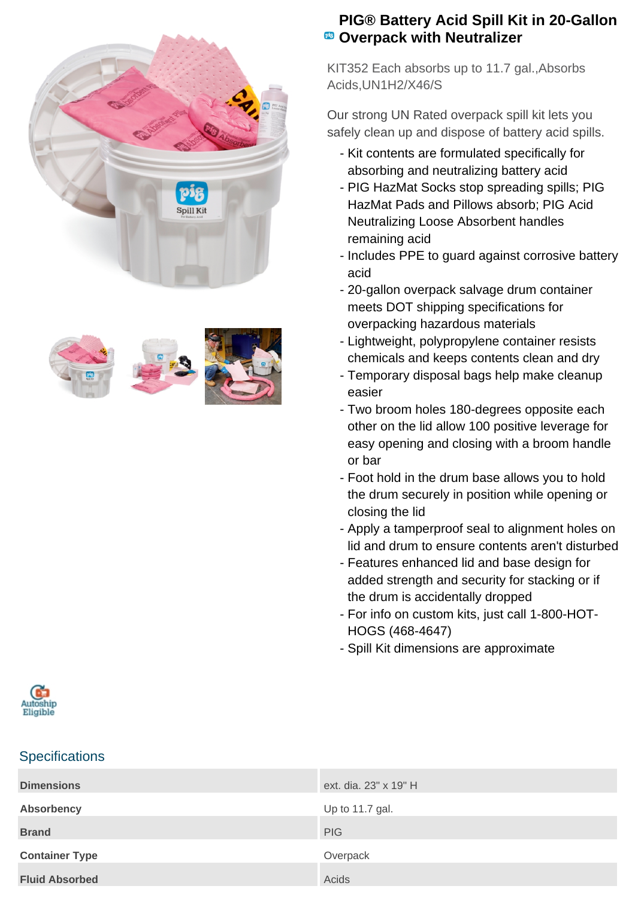



## **PIG® Battery Acid Spill Kit in 20-Gallon <sup><b>B</sup>** Overpack with Neutralizer</sup>

KIT352 Each absorbs up to 11.7 gal.,Absorbs Acids,UN1H2/X46/S

Our strong UN Rated overpack spill kit lets you safely clean up and dispose of battery acid spills.

- Kit contents are formulated specifically for absorbing and neutralizing battery acid
- PIG HazMat Socks stop spreading spills; PIG HazMat Pads and Pillows absorb; PIG Acid Neutralizing Loose Absorbent handles remaining acid
- Includes PPE to guard against corrosive battery acid
- 20-gallon overpack salvage drum container meets DOT shipping specifications for overpacking hazardous materials
- Lightweight, polypropylene container resists chemicals and keeps contents clean and dry
- Temporary disposal bags help make cleanup easier
- Two broom holes 180-degrees opposite each other on the lid allow 100 positive leverage for easy opening and closing with a broom handle or bar
- Foot hold in the drum base allows you to hold the drum securely in position while opening or closing the lid
- Apply a tamperproof seal to alignment holes on lid and drum to ensure contents aren't disturbed
- Features enhanced lid and base design for added strength and security for stacking or if the drum is accidentally dropped
- For info on custom kits, just call 1-800-HOT-HOGS (468-4647)
- Spill Kit dimensions are approximate



## **Specifications**

| <b>Dimensions</b>     | ext. dia. 23" x 19" H |
|-----------------------|-----------------------|
| Absorbency            | Up to 11.7 gal.       |
| <b>Brand</b>          | <b>PIG</b>            |
| <b>Container Type</b> | Overpack              |
| <b>Fluid Absorbed</b> | Acids                 |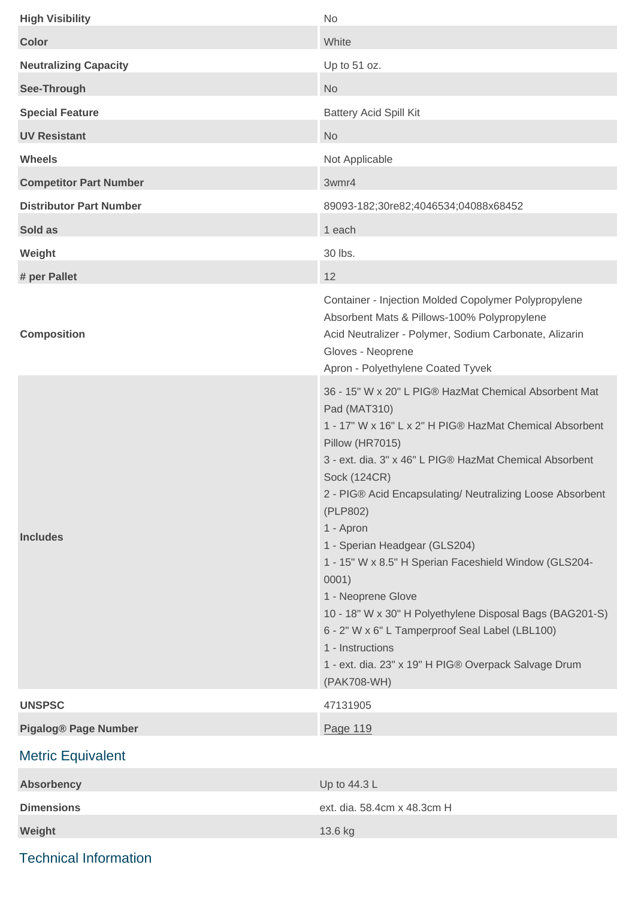| <b>High Visibility</b>         | <b>No</b>                                                                                                                                                                                                                                                                                                                                                                                                                                                                                                                                                                                                                                               |
|--------------------------------|---------------------------------------------------------------------------------------------------------------------------------------------------------------------------------------------------------------------------------------------------------------------------------------------------------------------------------------------------------------------------------------------------------------------------------------------------------------------------------------------------------------------------------------------------------------------------------------------------------------------------------------------------------|
| <b>Color</b>                   | White                                                                                                                                                                                                                                                                                                                                                                                                                                                                                                                                                                                                                                                   |
| <b>Neutralizing Capacity</b>   | Up to 51 oz.                                                                                                                                                                                                                                                                                                                                                                                                                                                                                                                                                                                                                                            |
| See-Through                    | <b>No</b>                                                                                                                                                                                                                                                                                                                                                                                                                                                                                                                                                                                                                                               |
| <b>Special Feature</b>         | <b>Battery Acid Spill Kit</b>                                                                                                                                                                                                                                                                                                                                                                                                                                                                                                                                                                                                                           |
| <b>UV Resistant</b>            | <b>No</b>                                                                                                                                                                                                                                                                                                                                                                                                                                                                                                                                                                                                                                               |
| <b>Wheels</b>                  | Not Applicable                                                                                                                                                                                                                                                                                                                                                                                                                                                                                                                                                                                                                                          |
| <b>Competitor Part Number</b>  | 3wmr4                                                                                                                                                                                                                                                                                                                                                                                                                                                                                                                                                                                                                                                   |
| <b>Distributor Part Number</b> | 89093-182;30re82;4046534;04088x68452                                                                                                                                                                                                                                                                                                                                                                                                                                                                                                                                                                                                                    |
| Sold as                        | 1 each                                                                                                                                                                                                                                                                                                                                                                                                                                                                                                                                                                                                                                                  |
| Weight                         | 30 lbs.                                                                                                                                                                                                                                                                                                                                                                                                                                                                                                                                                                                                                                                 |
| # per Pallet                   | 12                                                                                                                                                                                                                                                                                                                                                                                                                                                                                                                                                                                                                                                      |
| <b>Composition</b>             | Container - Injection Molded Copolymer Polypropylene<br>Absorbent Mats & Pillows-100% Polypropylene<br>Acid Neutralizer - Polymer, Sodium Carbonate, Alizarin<br>Gloves - Neoprene<br>Apron - Polyethylene Coated Tyvek                                                                                                                                                                                                                                                                                                                                                                                                                                 |
| <b>Includes</b>                | 36 - 15" W x 20" L PIG® HazMat Chemical Absorbent Mat<br>Pad (MAT310)<br>1 - 17" W x 16" L x 2" H PIG® HazMat Chemical Absorbent<br>Pillow (HR7015)<br>3 - ext. dia. 3" x 46" L PIG® HazMat Chemical Absorbent<br>Sock (124CR)<br>2 - PIG® Acid Encapsulating/ Neutralizing Loose Absorbent<br>(PLP802)<br>1 - Apron<br>1 - Sperian Headgear (GLS204)<br>1 - 15" W x 8.5" H Sperian Faceshield Window (GLS204-<br>0001)<br>1 - Neoprene Glove<br>10 - 18" W x 30" H Polyethylene Disposal Bags (BAG201-S)<br>6 - 2" W x 6" L Tamperproof Seal Label (LBL100)<br>1 - Instructions<br>1 - ext. dia. 23" x 19" H PIG® Overpack Salvage Drum<br>(PAK708-WH) |
| <b>UNSPSC</b>                  | 47131905                                                                                                                                                                                                                                                                                                                                                                                                                                                                                                                                                                                                                                                |
| <b>Pigalog® Page Number</b>    | Page 119                                                                                                                                                                                                                                                                                                                                                                                                                                                                                                                                                                                                                                                |
| <b>Metric Equivalent</b>       |                                                                                                                                                                                                                                                                                                                                                                                                                                                                                                                                                                                                                                                         |
| <b>Absorbency</b>              | Up to 44.3 L                                                                                                                                                                                                                                                                                                                                                                                                                                                                                                                                                                                                                                            |
| <b>Dimensions</b>              | ext. dia. 58.4cm x 48.3cm H                                                                                                                                                                                                                                                                                                                                                                                                                                                                                                                                                                                                                             |
| Weight                         | 13.6 kg                                                                                                                                                                                                                                                                                                                                                                                                                                                                                                                                                                                                                                                 |
|                                |                                                                                                                                                                                                                                                                                                                                                                                                                                                                                                                                                                                                                                                         |

Technical Information